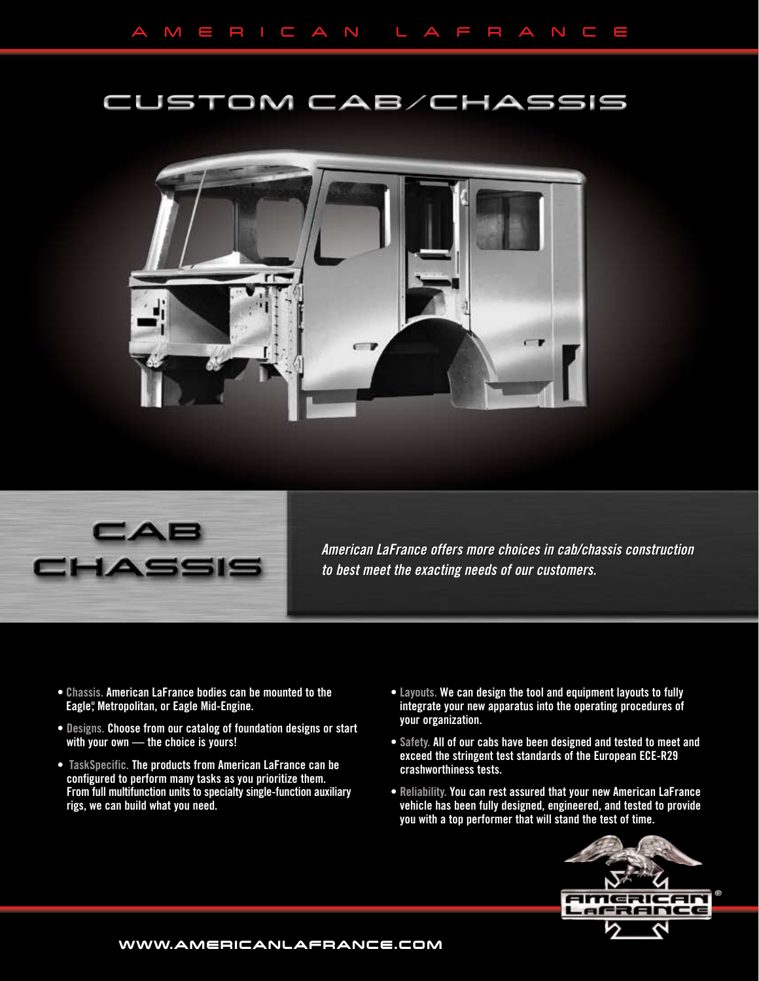## CUSTOM CAB/CHASSIS





*American LaFrance offers more choices in cab/chassis construction to best meet the exacting needs of our customers. to best meet the exacting needs of our customers.*

- Chassis. American LaFrance bodies can be mounted to the Eagle® , Metropolitan, or Eagle Mid-Engine.
- Designs. Choose from our catalog of foundation designs or start with your own — the choice is yours!
- TaskSpecific. The products from American LaFrance can be configured to perform many tasks as you prioritize them. From full multifunction units to specialty single-function auxiliary rigs, we can build what you need.
- Layouts. We can design the tool and equipment layouts to fully integrate your new apparatus into the operating procedures of your organization.
- Safety. All of our cabs have been designed and tested to meet and exceed the stringent test standards of the European ECE-R29 crashworthiness tests.
- Reliability. You can rest assured that your new American LaFrance vehicle has been fully designed, engineered, and tested to provide you with a top performer that will stand the test of time.



**www.americanlafrance.com**